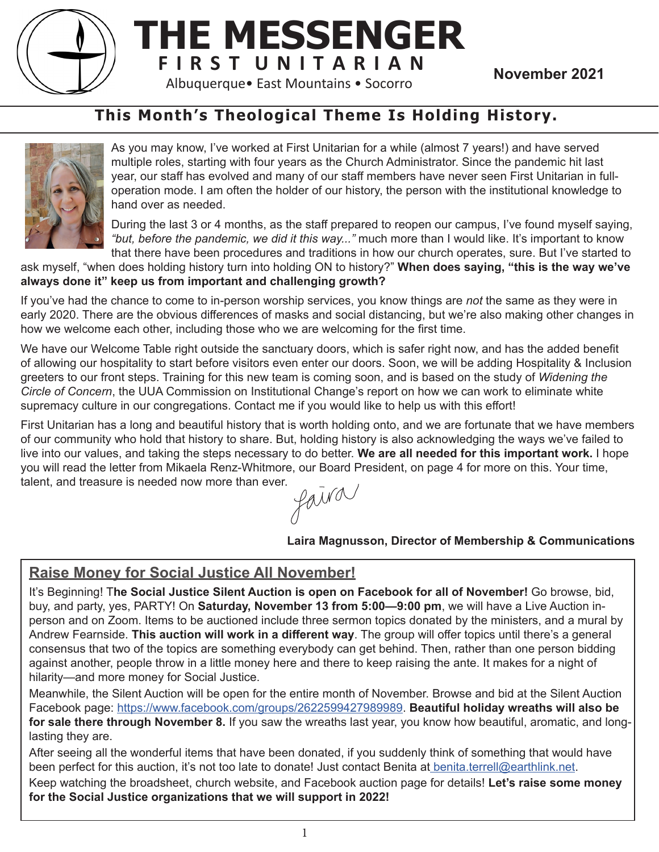

## **THE MESSENGER F I R S T U N I T A R I A N November 2021**<br>Albuquerque• East Mountains • Socorro

## **This Month's Theological Theme Is Holding History.**



As you may know, I've worked at First Unitarian for a while (almost 7 years!) and have served multiple roles, starting with four years as the Church Administrator. Since the pandemic hit last year, our staff has evolved and many of our staff members have never seen First Unitarian in fulloperation mode. I am often the holder of our history, the person with the institutional knowledge to hand over as needed.

During the last 3 or 4 months, as the staff prepared to reopen our campus, I've found myself saying, *"but, before the pandemic, we did it this way..."* much more than I would like. It's important to know that there have been procedures and traditions in how our church operates, sure. But I've started to

### ask myself, "when does holding history turn into holding ON to history?" **When does saying, "this is the way we've always done it" keep us from important and challenging growth?**

If you've had the chance to come to in-person worship services, you know things are *not* the same as they were in early 2020. There are the obvious differences of masks and social distancing, but we're also making other changes in how we welcome each other, including those who we are welcoming for the first time.

We have our Welcome Table right outside the sanctuary doors, which is safer right now, and has the added benefit of allowing our hospitality to start before visitors even enter our doors. Soon, we will be adding Hospitality & Inclusion greeters to our front steps. Training for this new team is coming soon, and is based on the study of *Widening the Circle of Concern*, the UUA Commission on Institutional Change's report on how we can work to eliminate white supremacy culture in our congregations. Contact me if you would like to help us with this effort!

First Unitarian has a long and beautiful history that is worth holding onto, and we are fortunate that we have members of our community who hold that history to share. But, holding history is also acknowledging the ways we've failed to live into our values, and taking the steps necessary to do better. **We are all needed for this important work.** I hope you will read the letter from Mikaela Renz-Whitmore, our Board President, on page 4 for more on this. Your time, talent, and treasure is needed now more than ever.<br> $\mathcal{L}$ 

### **Laira Magnusson, Director of Membership & Communications**

## **Raise Money for Social Justice All November!**

It's Beginning! T**he Social Justice Silent Auction is open on Facebook for all of November!** Go browse, bid, buy, and party, yes, PARTY! On **Saturday, November 13 from 5:00—9:00 pm**, we will have a Live Auction inperson and on Zoom. Items to be auctioned include three sermon topics donated by the ministers, and a mural by Andrew Fearnside. **This auction will work in a different way**. The group will offer topics until there's a general consensus that two of the topics are something everybody can get behind. Then, rather than one person bidding against another, people throw in a little money here and there to keep raising the ante. It makes for a night of hilarity—and more money for Social Justice.

Meanwhile, the Silent Auction will be open for the entire month of November. Browse and bid at the Silent Auction Facebook page: https://www.facebook.com/groups/2622599427989989. **Beautiful holiday wreaths will also be for sale there through November 8.** If you saw the wreaths last year, you know how beautiful, aromatic, and longlasting they are.

After seeing all the wonderful items that have been donated, if you suddenly think of something that would have been perfect for this auction, it's not too late to donate! Just contact Benita at benita.terrell@earthlink.net.

Keep watching the broadsheet, church website, and Facebook auction page for details! **Let's raise some money for the Social Justice organizations that we will support in 2022!**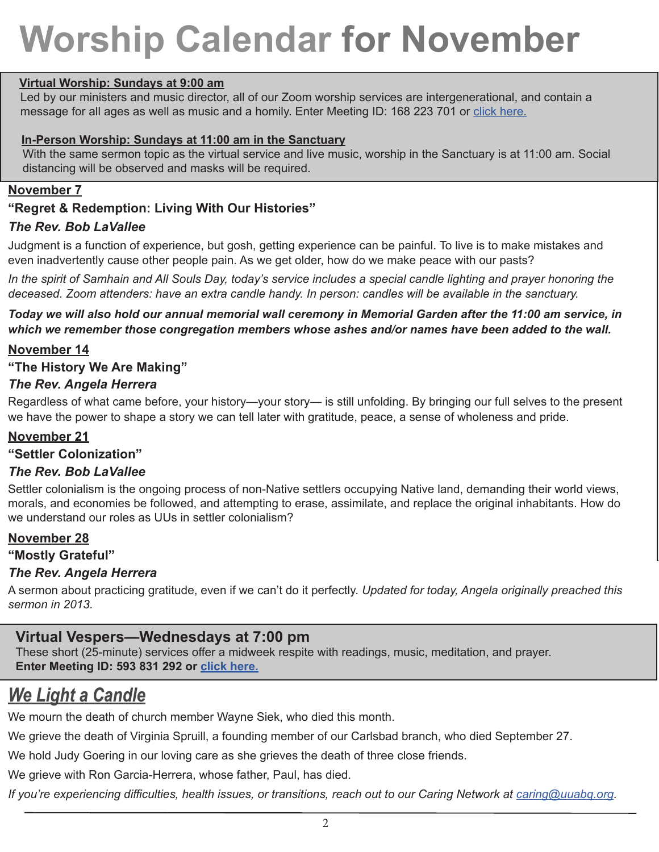## **Worship Calendar for November**

### **Virtual Worship: Sundays at 9:00 am**

Led by our ministers and music director, all of our Zoom worship services are intergenerational, and contain a message for all ages as well as music and a homily. Enter Meeting ID: 168 223 701 or click here.

#### **In-Person Worship: Sundays at 11:00 am in the Sanctuary**

With the same sermon topic as the virtual service and live music, worship in the Sanctuary is at 11:00 am. Social distancing will be observed and masks will be required.

#### **November 7**

### **"Regret & Redemption: Living With Our Histories"**

### *The Rev. Bob LaVallee*

Judgment is a function of experience, but gosh, getting experience can be painful. To live is to make mistakes and even inadvertently cause other people pain. As we get older, how do we make peace with our pasts?

*In the spirit of Samhain and All Souls Day, today's service includes a special candle lighting and prayer honoring the deceased. Zoom attenders: have an extra candle handy. In person: candles will be available in the sanctuary.*

*Today we will also hold our annual memorial wall ceremony in Memorial Garden after the 11:00 am service, in which we remember those congregation members whose ashes and/or names have been added to the wall.*

### **November 14**

### **"The History We Are Making"**

### *The Rev. Angela Herrera*

Regardless of what came before, your history—your story— is still unfolding. By bringing our full selves to the present we have the power to shape a story we can tell later with gratitude, peace, a sense of wholeness and pride.

### **November 21**

**"Settler Colonization"**

### *The Rev. Bob LaVallee*

Settler colonialism is the ongoing process of non-Native settlers occupying Native land, demanding their world views, morals, and economies be followed, and attempting to erase, assimilate, and replace the original inhabitants. How do we understand our roles as UUs in settler colonialism?

### **November 28**

### **"Mostly Grateful"**

### *The Rev. Angela Herrera*

A sermon about practicing gratitude, even if we can't do it perfectly. *Updated for today, Angela originally preached this sermon in 2013.*

### **Virtual Vespers—Wednesdays at 7:00 pm**

These short (25-minute) services offer a midweek respite with readings, music, meditation, and prayer. **Enter Meeting ID: 593 831 292 or click here.**

## *We Light a Candle*

We mourn the death of church member Wayne Siek, who died this month.

We grieve the death of Virginia Spruill, a founding member of our Carlsbad branch, who died September 27.

We hold Judy Goering in our loving care as she grieves the death of three close friends.

We grieve with Ron Garcia-Herrera, whose father, Paul, has died.

*If you're experiencing difficulties, health issues, or transitions, reach out to our Caring Network at caring@uuabq.org.*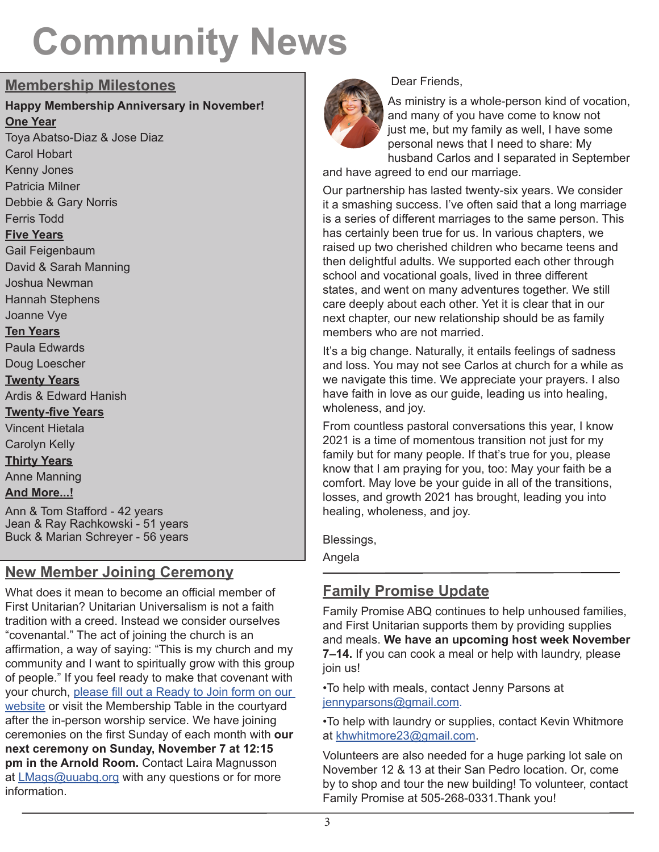## **Community News**

### **Membership Milestones**

## **Happy Membership Anniversary in November!**

**One Year** Toya Abatso-Diaz & Jose Diaz Carol Hobart Kenny Jones Patricia Milner Debbie & Gary Norris Ferris Todd **Five Years** Gail Feigenbaum David & Sarah Manning Joshua Newman Hannah Stephens Joanne Vye **Ten Years** Paula Edwards Doug Loescher **Twenty Years** Ardis & Edward Hanish **Twenty-five Years** Vincent Hietala Carolyn Kelly **Thirty Years** Anne Manning **And More...!**

Ann & Tom Stafford - 42 years Jean & Ray Rachkowski - 51 years Buck & Marian Schreyer - 56 years

## **New Member Joining Ceremony**

What does it mean to become an official member of First Unitarian? Unitarian Universalism is not a faith tradition with a creed. Instead we consider ourselves "covenantal." The act of joining the church is an affirmation, a way of saying: "This is my church and my community and I want to spiritually grow with this group of people." If you feel ready to make that covenant with your church, please fill out a Ready to Join form on our website or visit the Membership Table in the courtyard after the in-person worship service. We have joining ceremonies on the first Sunday of each month with **our next ceremony on Sunday, November 7 at 12:15 pm in the Arnold Room.** Contact Laira Magnusson at LMags@uuabq.org with any questions or for more information.



Dear Friends,

As ministry is a whole-person kind of vocation, and many of you have come to know not just me, but my family as well, I have some personal news that I need to share: My husband Carlos and I separated in September

and have agreed to end our marriage.

Our partnership has lasted twenty-six years. We consider it a smashing success. I've often said that a long marriage is a series of different marriages to the same person. This has certainly been true for us. In various chapters, we raised up two cherished children who became teens and then delightful adults. We supported each other through school and vocational goals, lived in three different states, and went on many adventures together. We still care deeply about each other. Yet it is clear that in our next chapter, our new relationship should be as family members who are not married.

It's a big change. Naturally, it entails feelings of sadness and loss. You may not see Carlos at church for a while as we navigate this time. We appreciate your prayers. I also have faith in love as our guide, leading us into healing, wholeness, and joy.

From countless pastoral conversations this year, I know 2021 is a time of momentous transition not just for my family but for many people. If that's true for you, please know that I am praying for you, too: May your faith be a comfort. May love be your guide in all of the transitions, losses, and growth 2021 has brought, leading you into healing, wholeness, and joy.

Blessings,

Angela

## **Family Promise Update**

Family Promise ABQ continues to help unhoused families, and First Unitarian supports them by providing supplies and meals. **We have an upcoming host week November 7–14.** If you can cook a meal or help with laundry, please join us!

•To help with meals, contact Jenny Parsons at jennyparsons@gmail.com.

•To help with laundry or supplies, contact Kevin Whitmore at khwhitmore23@gmail.com.

Volunteers are also needed for a huge parking lot sale on November 12 & 13 at their San Pedro location. Or, come by to shop and tour the new building! To volunteer, contact Family Promise at 505-268-0331.Thank you!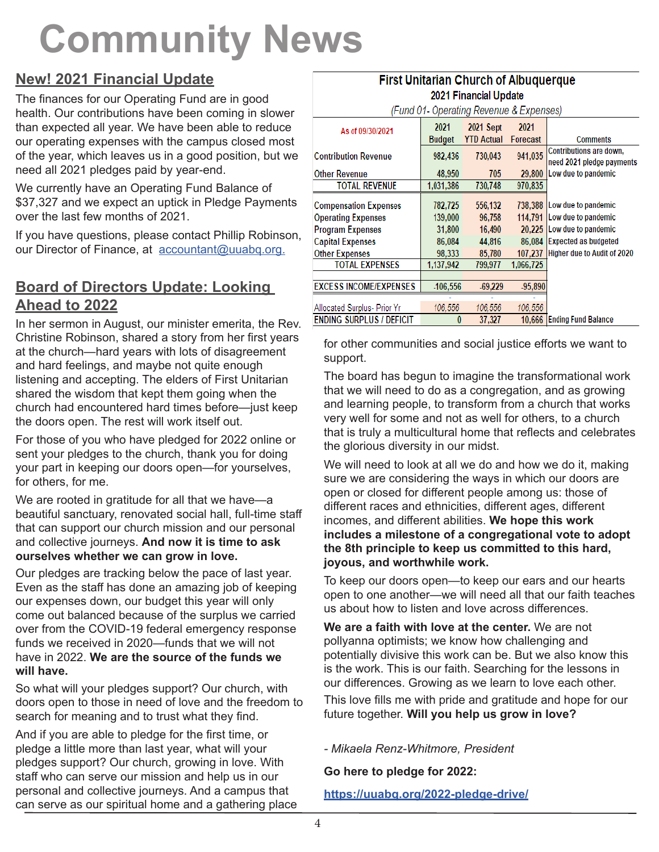## **Community News**

## **New! 2021 Financial Update**

The finances for our Operating Fund are in good health. Our contributions have been coming in slower than expected all year. We have been able to reduce our operating expenses with the campus closed most of the year, which leaves us in a good position, but we need all 2021 pledges paid by year-end.

We currently have an Operating Fund Balance of \$37,327 and we expect an uptick in Pledge Payments over the last few months of 2021.

If you have questions, please contact Phillip Robinson, our Director of Finance, at accountant@uuabq.org.

## **Board of Directors Update: Looking Ahead to 2022**

In her sermon in August, our minister emerita, the Rev. Christine Robinson, shared a story from her first years at the church—hard years with lots of disagreement and hard feelings, and maybe not quite enough listening and accepting. The elders of First Unitarian shared the wisdom that kept them going when the church had encountered hard times before—just keep the doors open. The rest will work itself out.

For those of you who have pledged for 2022 online or sent your pledges to the church, thank you for doing your part in keeping our doors open—for yourselves, for others, for me.

We are rooted in gratitude for all that we have—a beautiful sanctuary, renovated social hall, full-time staff that can support our church mission and our personal and collective journeys. **And now it is time to ask ourselves whether we can grow in love.**

Our pledges are tracking below the pace of last year. Even as the staff has done an amazing job of keeping our expenses down, our budget this year will only come out balanced because of the surplus we carried over from the COVID-19 federal emergency response funds we received in 2020—funds that we will not have in 2022. **We are the source of the funds we will have.**

So what will your pledges support? Our church, with doors open to those in need of love and the freedom to search for meaning and to trust what they find.

And if you are able to pledge for the first time, or pledge a little more than last year, what will your pledges support? Our church, growing in love. With staff who can serve our mission and help us in our personal and collective journeys. And a campus that can serve as our spiritual home and a gathering place

| 2021 Financial Update                   |               |                   |           |                                                      |
|-----------------------------------------|---------------|-------------------|-----------|------------------------------------------------------|
| (Fund 01- Operating Revenue & Expenses) |               |                   |           |                                                      |
| As of 09/30/2021                        | 2021          | 2021 Sept         | 2021      |                                                      |
|                                         | <b>Budget</b> | <b>YTD Actual</b> | Forecast  | Comments                                             |
| <b>Contribution Revenue</b>             | 982,436       | 730,043           | 941,035   | Contributions are down,<br>need 2021 pledge payments |
| <b>Other Revenue</b>                    | 48,950        | 705               | 29,800    | Low due to pandemic                                  |
| <b>TOTAL REVENUE</b>                    | 1,031,386     | 730,748           | 970,835   |                                                      |
| <b>Compensation Expenses</b>            | 782.725       | 556,132           | 738,388   | Low due to pandemic                                  |
| <b>Operating Expenses</b>               | 139,000       | 96,758            | 114.791   | Low due to pandemic                                  |
| <b>Program Expenses</b>                 | 31,800        | 16.490            | 20.225    | Low due to pandemic                                  |
| <b>Capital Expenses</b>                 | 86,084        | 44,816            | 86,084    | <b>Expected as budgeted</b>                          |
| <b>Other Expenses</b>                   | 98,333        | 85,780            | 107.237   | Higher due to Audit of 2020                          |
| <b>TOTAL EXPENSES</b>                   | 1,137,942     | 799,977           | 1.066.725 |                                                      |
|                                         |               |                   |           |                                                      |
| <b>EXCESS INCOME/EXPENSES</b>           | $-106,556$    | $-69,229$         | $-95,890$ |                                                      |
|                                         |               |                   |           |                                                      |
| Allocated Surplus- Prior Yr             | 106,556       | 106,556           | 106.556   |                                                      |
| <b>ENDING SURPLUS / DEFICIT</b>         | 0             | 37,327            | 10.666    | <b>Ending Fund Balance</b>                           |

## **First Unitarian Church of Albuquerque**

for other communities and social justice efforts we want to support.

The board has begun to imagine the transformational work that we will need to do as a congregation, and as growing and learning people, to transform from a church that works very well for some and not as well for others, to a church that is truly a multicultural home that reflects and celebrates the glorious diversity in our midst.

We will need to look at all we do and how we do it, making sure we are considering the ways in which our doors are open or closed for different people among us: those of different races and ethnicities, different ages, different incomes, and different abilities. **We hope this work includes a milestone of a congregational vote to adopt the 8th principle to keep us committed to this hard, joyous, and worthwhile work.**

To keep our doors open—to keep our ears and our hearts open to one another—we will need all that our faith teaches us about how to listen and love across differences.

**We are a faith with love at the center.** We are not pollyanna optimists; we know how challenging and potentially divisive this work can be. But we also know this is the work. This is our faith. Searching for the lessons in our differences. Growing as we learn to love each other.

This love fills me with pride and gratitude and hope for our future together. **Will you help us grow in love?**

### *- Mikaela Renz-Whitmore, President*

**Go here to pledge for 2022:** 

**https://uuabq.org/2022-pledge-drive/**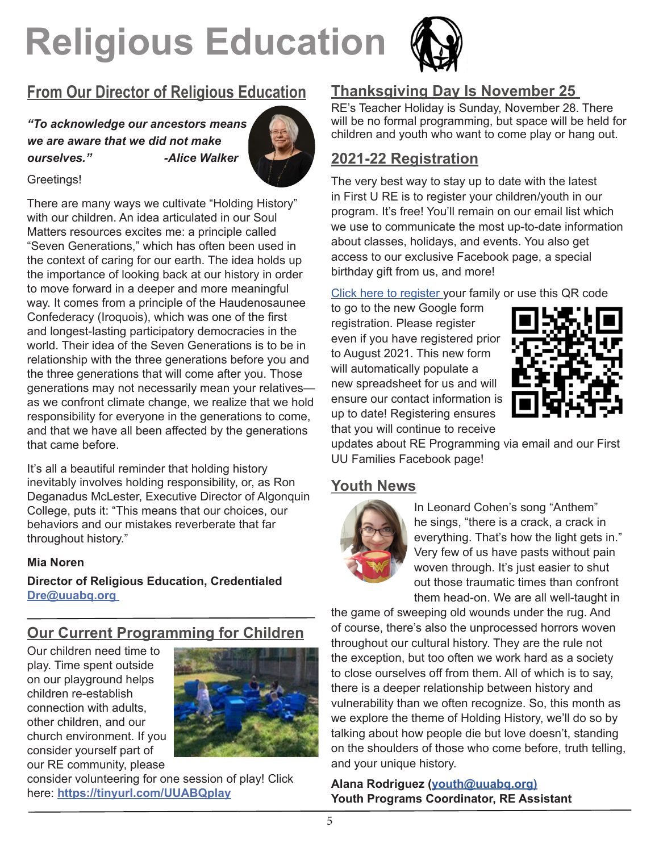# **Religious Education**



## **From Our Director of Religious Education**

*"To acknowledge our ancestors means we are aware that we did not make ourselves." -Alice Walker*



### Greetings!

There are many ways we cultivate "Holding History" with our children. An idea articulated in our Soul Matters resources excites me: a principle called "Seven Generations," which has often been used in the context of caring for our earth. The idea holds up the importance of looking back at our history in order to move forward in a deeper and more meaningful way. It comes from a principle of the Haudenosaunee Confederacy (Iroquois), which was one of the first and longest-lasting participatory democracies in the world. Their idea of the Seven Generations is to be in relationship with the three generations before you and the three generations that will come after you. Those generations may not necessarily mean your relatives as we confront climate change, we realize that we hold responsibility for everyone in the generations to come, and that we have all been affected by the generations that came before.

It's all a beautiful reminder that holding history inevitably involves holding responsibility, or, as Ron Deganadus McLester, Executive Director of Algonquin College, puts it: "This means that our choices, our behaviors and our mistakes reverberate that far throughout history."

### **Mia Noren**

**Director of Religious Education, Credentialed Dre@uuabq.org** 

## **Our Current Programming for Children**

Our children need time to play. Time spent outside on our playground helps children re-establish connection with adults, other children, and our church environment. If you consider yourself part of our RE community, please



consider volunteering for one session of play! Click here: **https://tinyurl.com/UUABQplay**

## **Thanksgiving Day Is November 25**

RE's Teacher Holiday is Sunday, November 28. There will be no formal programming, but space will be held for children and youth who want to come play or hang out.

## **2021-22 Registration**

The very best way to stay up to date with the latest in First U RE is to register your children/youth in our program. It's free! You'll remain on our email list which we use to communicate the most up-to-date information about classes, holidays, and events. You also get access to our exclusive Facebook page, a special birthday gift from us, and more!

Click here to register your family or use this QR code

to go to the new Google form registration. Please register even if you have registered prior to August 2021. This new form will automatically populate a new spreadsheet for us and will ensure our contact information is up to date! Registering ensures that you will continue to receive



updates about RE Programming via email and our First UU Families Facebook page!

### **Youth News**



In Leonard Cohen's song "Anthem" he sings, "there is a crack, a crack in everything. That's how the light gets in." Very few of us have pasts without pain woven through. It's just easier to shut out those traumatic times than confront them head-on. We are all well-taught in

the game of sweeping old wounds under the rug. And of course, there's also the unprocessed horrors woven throughout our cultural history. They are the rule not the exception, but too often we work hard as a society to close ourselves off from them. All of which is to say, there is a deeper relationship between history and vulnerability than we often recognize. So, this month as we explore the theme of Holding History, we'll do so by talking about how people die but love doesn't, standing on the shoulders of those who come before, truth telling, and your unique history.

**Alana Rodriguez (youth@uuabq.org) Youth Programs Coordinator, RE Assistant**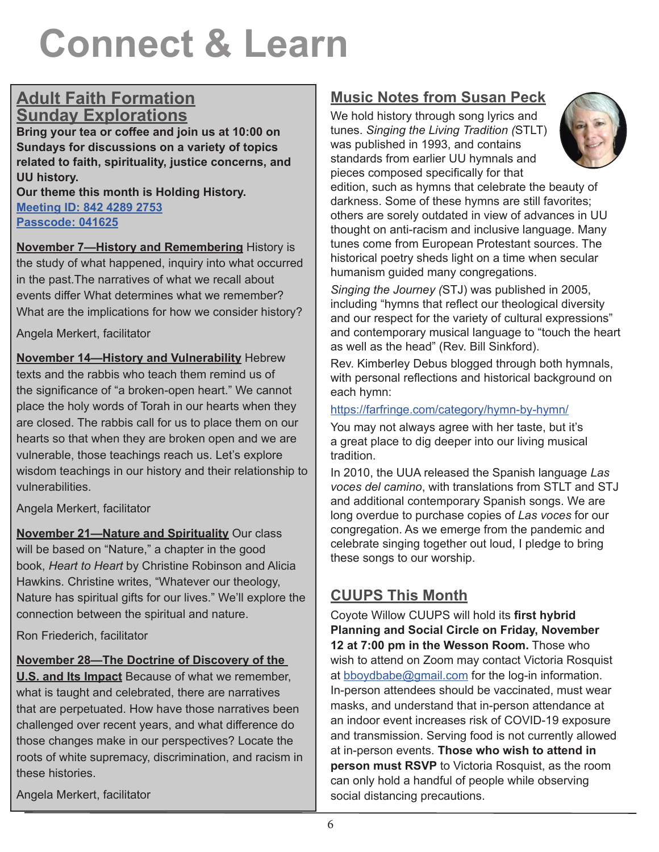## **Connect & Learn**

## **Adult Faith Formation Sunday Explorations**

**Bring your tea or coffee and join us at 10:00 on Sundays for discussions on a variety of topics related to faith, spirituality, justice concerns, and UU history.**

**Our theme this month is Holding History. Meeting ID: 842 4289 2753 Passcode: 041625**

**November 7—History and Remembering** History is the study of what happened, inquiry into what occurred in the past.The narratives of what we recall about events differ What determines what we remember? What are the implications for how we consider history?

Angela Merkert, facilitator

**November 14—History and Vulnerability** Hebrew texts and the rabbis who teach them remind us of the significance of "a broken-open heart." We cannot place the holy words of Torah in our hearts when they are closed. The rabbis call for us to place them on our hearts so that when they are broken open and we are vulnerable, those teachings reach us. Let's explore wisdom teachings in our history and their relationship to vulnerabilities.

Angela Merkert, facilitator

**November 21—Nature and Spirituality** Our class will be based on "Nature," a chapter in the good book, *Heart to Heart* by Christine Robinson and Alicia Hawkins. Christine writes, "Whatever our theology, Nature has spiritual gifts for our lives." We'll explore the connection between the spiritual and nature.

Ron Friederich, facilitator

### **November 28—The Doctrine of Discovery of the**

**U.S. and Its Impact** Because of what we remember, what is taught and celebrated, there are narratives that are perpetuated. How have those narratives been challenged over recent years, and what difference do those changes make in our perspectives? Locate the roots of white supremacy, discrimination, and racism in these histories.

**Music Notes from Susan Peck**

We hold history through song lyrics and tunes. *Singing the Living Tradition (*STLT) was published in 1993, and contains standards from earlier UU hymnals and pieces composed specifically for that



edition, such as hymns that celebrate the beauty of darkness. Some of these hymns are still favorites; others are sorely outdated in view of advances in UU thought on anti-racism and inclusive language. Many tunes come from European Protestant sources. The historical poetry sheds light on a time when secular humanism guided many congregations.

*Singing the Journey (*STJ) was published in 2005, including "hymns that reflect our theological diversity and our respect for the variety of cultural expressions" and contemporary musical language to "touch the heart as well as the head" (Rev. Bill Sinkford).

Rev. Kimberley Debus blogged through both hymnals, with personal reflections and historical background on each hymn:

### https://farfringe.com/category/hymn-by-hymn/

You may not always agree with her taste, but it's a great place to dig deeper into our living musical tradition.

In 2010, the UUA released the Spanish language *Las voces del camino*, with translations from STLT and STJ and additional contemporary Spanish songs. We are long overdue to purchase copies of *Las voces* for our congregation. As we emerge from the pandemic and celebrate singing together out loud, I pledge to bring these songs to our worship.

## **CUUPS This Month**

Coyote Willow CUUPS will hold its **first hybrid Planning and Social Circle on Friday, November 12 at 7:00 pm in the Wesson Room.** Those who wish to attend on Zoom may contact Victoria Rosquist at bboydbabe@gmail.com for the log-in information. In-person attendees should be vaccinated, must wear masks, and understand that in-person attendance at an indoor event increases risk of COVID-19 exposure and transmission. Serving food is not currently allowed at in-person events. **Those who wish to attend in person must RSVP** to Victoria Rosquist, as the room can only hold a handful of people while observing social distancing precautions.

Angela Merkert, facilitator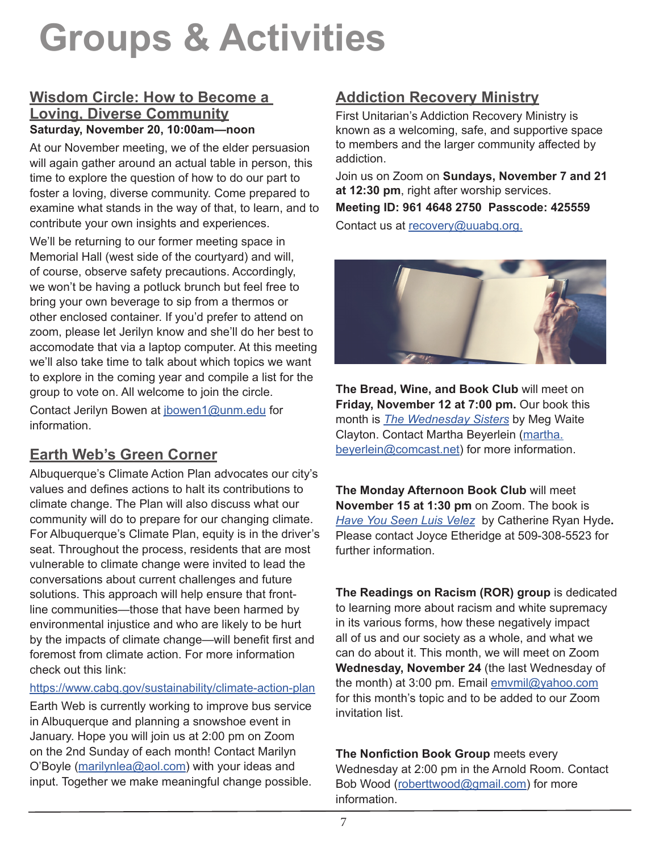## **Groups & Activities**

### **Wisdom Circle: How to Become a Loving, Diverse Community Saturday, November 20, 10:00am—noon**

At our November meeting, we of the elder persuasion will again gather around an actual table in person, this time to explore the question of how to do our part to foster a loving, diverse community. Come prepared to examine what stands in the way of that, to learn, and to contribute your own insights and experiences.

We'll be returning to our former meeting space in Memorial Hall (west side of the courtyard) and will, of course, observe safety precautions. Accordingly, we won't be having a potluck brunch but feel free to bring your own beverage to sip from a thermos or other enclosed container. If you'd prefer to attend on zoom, please let Jerilyn know and she'll do her best to accomodate that via a laptop computer. At this meeting we'll also take time to talk about which topics we want to explore in the coming year and compile a list for the group to vote on. All welcome to join the circle.

Contact Jerilyn Bowen at jbowen1@unm.edu for information.

## **Earth Web's Green Corner**

Albuquerque's Climate Action Plan advocates our city's values and defines actions to halt its contributions to climate change. The Plan will also discuss what our community will do to prepare for our changing climate. For Albuquerque's Climate Plan, equity is in the driver's seat. Throughout the process, residents that are most vulnerable to climate change were invited to lead the conversations about current challenges and future solutions. This approach will help ensure that frontline communities—those that have been harmed by environmental injustice and who are likely to be hurt by the impacts of climate change—will benefit first and foremost from climate action. For more information check out this link:

https://www.cabq.gov/sustainability/climate-action-plan

Earth Web is currently working to improve bus service in Albuquerque and planning a snowshoe event in January. Hope you will join us at 2:00 pm on Zoom on the 2nd Sunday of each month! Contact Marilyn O'Boyle (marilynlea@aol.com) with your ideas and input. Together we make meaningful change possible.

## **Addiction Recovery Ministry**

First Unitarian's Addiction Recovery Ministry is known as a welcoming, safe, and supportive space to members and the larger community affected by addiction.

Join us on Zoom on **Sundays, November 7 and 21 at 12:30 pm**, right after worship services.

**Meeting ID: 961 4648 2750 Passcode: 425559** Contact us at recovery@uuabq.org.



**The Bread, Wine, and Book Club** will meet on **Friday, November 12 at 7:00 pm.** Our book this month is *The Wednesday Sisters* by Meg Waite Clayton. Contact Martha Beyerlein (martha. beyerlein@comcast.net) for more information.

**The Monday Afternoon Book Club** will meet **November 15 at 1:30 pm** on Zoom. The book is *Have You Seen Luis Velez* by Catherine Ryan Hyde**.**  Please contact Joyce Etheridge at 509-308-5523 for further information.

**The Readings on Racism (ROR) group** is dedicated to learning more about racism and white supremacy in its various forms, how these negatively impact all of us and our society as a whole, and what we can do about it. This month, we will meet on Zoom **Wednesday, November 24** (the last Wednesday of the month) at 3:00 pm. Email emymil@yahoo.com for this month's topic and to be added to our Zoom invitation list.

**The Nonfiction Book Group** meets every Wednesday at 2:00 pm in the Arnold Room. Contact Bob Wood (roberttwood@gmail.com) for more information.